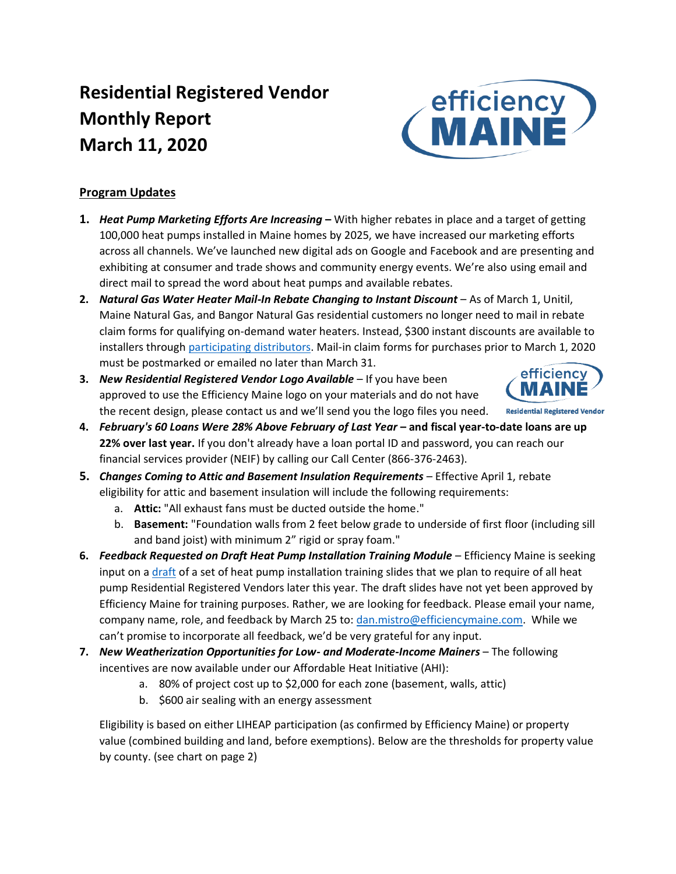# **Residential Registered Vendor Monthly Report March 11, 2020**



- **1.** *Heat Pump Marketing Efforts Are Increasing* **–** With higher rebates in place and a target of getting 100,000 heat pumps installed in Maine homes by 2025, we have increased our marketing efforts across all channels. We've launched new digital ads on Google and Facebook and are presenting and exhibiting at consumer and trade shows and community energy events. We're also using email and direct mail to spread the word about heat pumps and available rebates.
- **2.** *Natural Gas Water Heater Mail-In Rebate Changing to Instant Discount* As of March 1, Unitil, Maine Natural Gas, and Bangor Natural Gas residential customers no longer need to mail in rebate claim forms for qualifying on-demand water heaters. Instead, \$300 instant discounts are available to installers through [participating distributors.](https://www.efficiencymaine.com/docs/NG-Water-Heater-and-Combi-Boiler-Participating-Distributors.pdf) Mail-in claim forms for purchases prior to March 1, 2020 must be postmarked or emailed no later than March 31.
- **3.** *New Residential Registered Vendor Logo Available* If you have been approved to use the Efficiency Maine logo on your materials and do not have the recent design, please contact us and we'll send you the logo files you need.



efficiency<br>MAINE

- **4.** *February's 60 Loans Were 28% Above February of Last Year* **– and fiscal year-to-date loans are up 22% over last year.** If you don't already have a loan portal ID and password, you can reach our financial services provider (NEIF) by calling our Call Center (866-376-2463).
- **5.** *Changes Coming to Attic and Basement Insulation Requirements* Effective April 1, rebate eligibility for attic and basement insulation will include the following requirements:
	- a. **Attic:** "All exhaust fans must be ducted outside the home."
	- b. **Basement:** "Foundation walls from 2 feet below grade to underside of first floor (including sill and band joist) with minimum 2" rigid or spray foam."
- **6.** *Feedback Requested on Draft Heat Pump Installation Training Module* Efficiency Maine is seeking input on a [draft](https://docs.google.com/presentation/d/14xCPSOf9I87SYhvAUHLoil1eSjP175drpcWaBmL63Mg/edit) of a set of heat pump installation training slides that we plan to require of all heat pump Residential Registered Vendors later this year. The draft slides have not yet been approved by Efficiency Maine for training purposes. Rather, we are looking for feedback. Please email your name, company name, role, and feedback by March 25 to[: dan.mistro@efficiencymaine.com.](mailto:dan.mistro@efficiencymaine.com) While we can't promise to incorporate all feedback, we'd be very grateful for any input.
- **7.** *New Weatherization Opportunities for Low- and Moderate-Income Mainers* The following incentives are now available under our Affordable Heat Initiative (AHI):
	- a. 80% of project cost up to \$2,000 for each zone (basement, walls, attic)
	- b. \$600 air sealing with an energy assessment

Eligibility is based on either LIHEAP participation (as confirmed by Efficiency Maine) or property value (combined building and land, before exemptions). Below are the thresholds for property value by county. (see chart on page 2)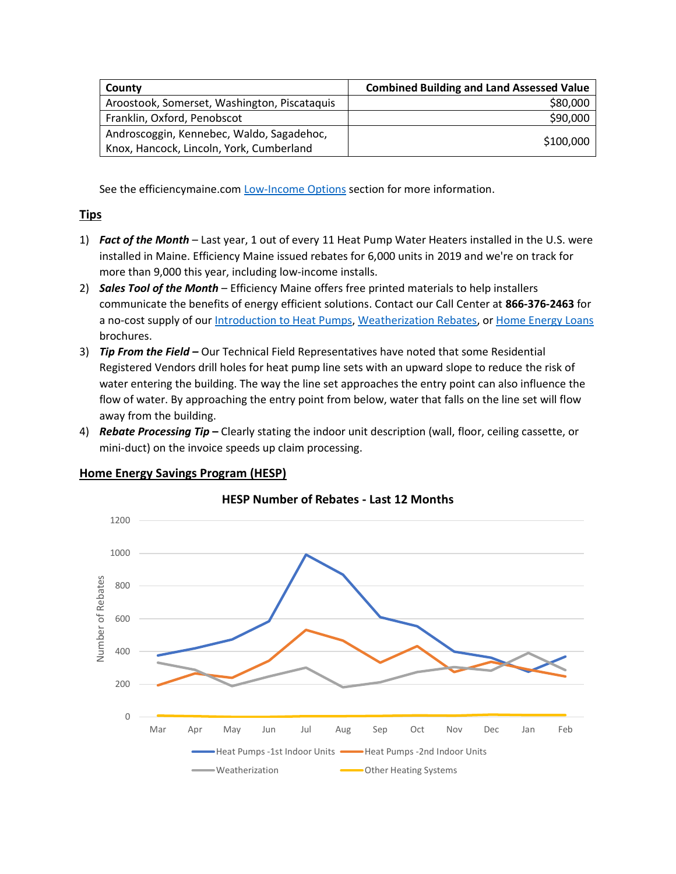| County                                       | <b>Combined Building and Land Assessed Value</b> |
|----------------------------------------------|--------------------------------------------------|
| Aroostook, Somerset, Washington, Piscataquis | \$80,000                                         |
| Franklin, Oxford, Penobscot                  | \$90,000                                         |
| Androscoggin, Kennebec, Waldo, Sagadehoc,    | \$100,000                                        |
| Knox, Hancock, Lincoln, York, Cumberland     |                                                  |

See the efficiencymaine.com [Low-Income Options](https://www.efficiencymaine.com/at-home/low-income-options/) section for more information.

## **Tips**

- 1) *Fact of the Month* Last year, 1 out of every 11 Heat Pump Water Heaters installed in the U.S. were installed in Maine. Efficiency Maine issued rebates for 6,000 units in 2019 and we're on track for more than 9,000 this year, including low-income installs.
- 2) *Sales Tool of the Month* Efficiency Maine offers free printed materials to help installers communicate the benefits of energy efficient solutions. Contact our Call Center at **866-376-2463** for a no-cost supply of our [Introduction to Heat Pumps,](https://www.efficiencymaine.com/docs/Introduction-to-Heat-Pumps.pdf) [Weatherization Rebates,](https://www.efficiencymaine.com/docs/EM-Weatherization-Brochure.pdf) or [Home Energy Loans](https://www.efficiencymaine.com/docs/EM-Home-Energy-Loans-Brochure.pdf) brochures.
- 3) *Tip From the Field –* Our Technical Field Representatives have noted that some Residential Registered Vendors drill holes for heat pump line sets with an upward slope to reduce the risk of water entering the building. The way the line set approaches the entry point can also influence the flow of water. By approaching the entry point from below, water that falls on the line set will flow away from the building.
- 4) *Rebate Processing Tip* **–** Clearly stating the indoor unit description (wall, floor, ceiling cassette, or mini-duct) on the invoice speeds up claim processing.



## **Home Energy Savings Program (HESP)**